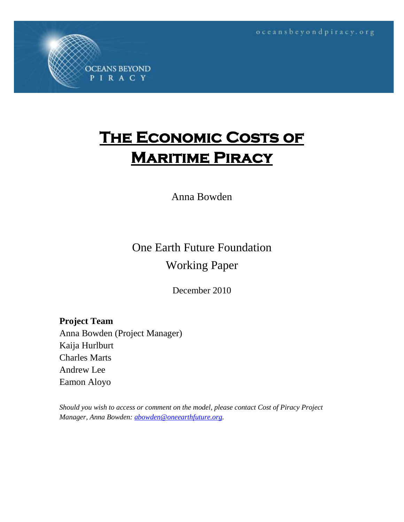oceansbeyondpiracy.org

# **THE ECONOMIC COSTS OF Maritime Piracy**

### Anna Bowden

## One Earth Future Foundation Working Paper

December 2010

**Project Team** Anna Bowden (Project Manager) Kaija Hurlburt Charles Marts Andrew Lee Eamon Aloyo

**OCEANS BEYOND** PIRACY

*Should you wish to access or comment on the model, please contact Cost of Piracy Project Manager, Anna Bowden: [abowden@oneearthfuture.org.](mailto:abowden@oneearthfuture.org)*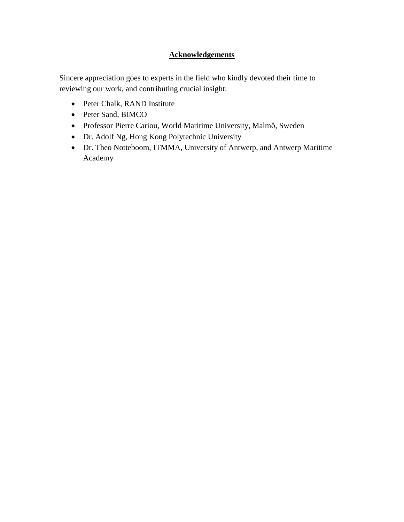#### **Acknowledgements**

Sincere appreciation goes to experts in the field who kindly devoted their time to reviewing our work, and contributing crucial insight:

- Peter Chalk, RAND Institute
- Peter Sand, BIMCO
- Professor Pierre Cariou, World Maritime University, Malmȍ, Sweden
- Dr. Adolf Ng, Hong Kong Polytechnic University
- Dr. Theo Notteboom, ITMMA, University of Antwerp, and Antwerp Maritime Academy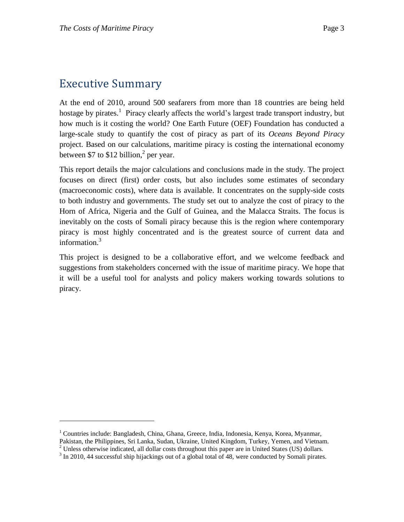### Executive Summary

 $\overline{a}$ 

At the end of 2010, around 500 seafarers from more than 18 countries are being held hostage by pirates.<sup>1</sup> Piracy clearly affects the world's largest trade transport industry, but how much is it costing the world? One Earth Future (OEF) Foundation has conducted a large-scale study to quantify the cost of piracy as part of its *Oceans Beyond Piracy* project. Based on our calculations, maritime piracy is costing the international economy between \$7 to \$12 billion, $<sup>2</sup>$  per year.</sup>

This report details the major calculations and conclusions made in the study. The project focuses on direct (first) order costs, but also includes some estimates of secondary (macroeconomic costs), where data is available. It concentrates on the supply-side costs to both industry and governments. The study set out to analyze the cost of piracy to the Horn of Africa, Nigeria and the Gulf of Guinea, and the Malacca Straits. The focus is inevitably on the costs of Somali piracy because this is the region where contemporary piracy is most highly concentrated and is the greatest source of current data and information.<sup>3</sup>

This project is designed to be a collaborative effort, and we welcome feedback and suggestions from stakeholders concerned with the issue of maritime piracy. We hope that it will be a useful tool for analysts and policy makers working towards solutions to piracy.

<sup>1</sup> Countries include: Bangladesh, China, Ghana, Greece, India, Indonesia, Kenya, Korea, Myanmar,

Pakistan, the Philippines, Sri Lanka, Sudan, Ukraine, United Kingdom, Turkey, Yemen, and Vietnam.

 $<sup>2</sup>$  Unless otherwise indicated, all dollar costs throughout this paper are in United States (US) dollars.</sup>

<sup>&</sup>lt;sup>3</sup> In 2010, 44 successful ship hijackings out of a global total of 48, were conducted by Somali pirates.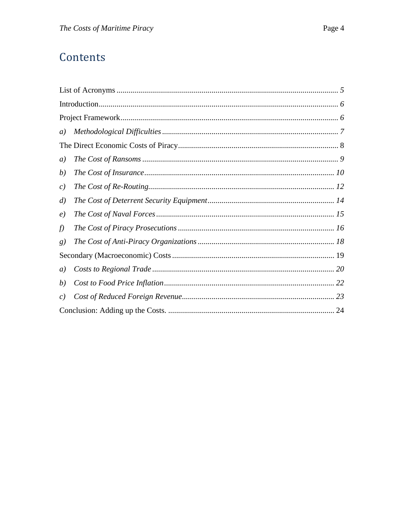### Contents

| a)                |  |
|-------------------|--|
|                   |  |
| a)                |  |
| b)                |  |
| c)                |  |
| $\left( d\right)$ |  |
| $\left( e\right)$ |  |
| f)                |  |
| g)                |  |
|                   |  |
| a)                |  |
| (b)               |  |
| c)                |  |
|                   |  |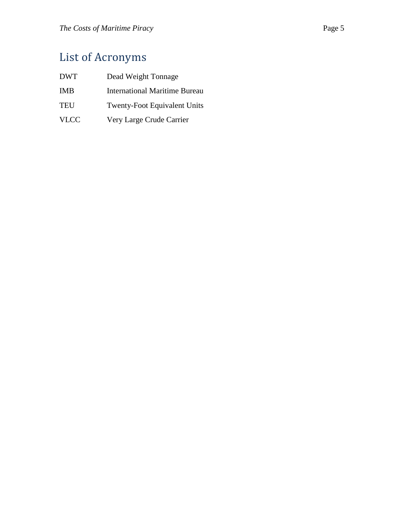# <span id="page-4-0"></span>List of Acronyms

| <b>DWT</b>  | Dead Weight Tonnage                  |
|-------------|--------------------------------------|
| <b>IMB</b>  | <b>International Maritime Bureau</b> |
| <b>TEU</b>  | <b>Twenty-Foot Equivalent Units</b>  |
| <b>VLCC</b> | Very Large Crude Carrier             |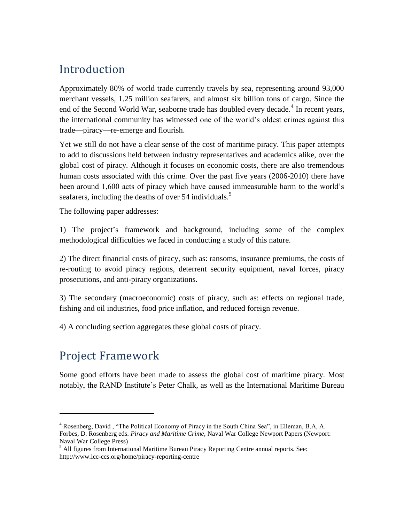### <span id="page-5-0"></span>Introduction

Approximately 80% of world trade currently travels by sea, representing around 93,000 merchant vessels, 1.25 million seafarers, and almost six billion tons of cargo. Since the end of the Second World War, seaborne trade has doubled every decade.<sup>4</sup> In recent years, the international community has witnessed one of the world's oldest crimes against this trade—piracy—re-emerge and flourish.

Yet we still do not have a clear sense of the cost of maritime piracy. This paper attempts to add to discussions held between industry representatives and academics alike, over the global cost of piracy. Although it focuses on economic costs, there are also tremendous human costs associated with this crime. Over the past five years (2006-2010) there have been around 1,600 acts of piracy which have caused immeasurable harm to the world's seafarers, including the deaths of over 54 individuals.<sup>5</sup>

The following paper addresses:

1) The project's framework and background, including some of the complex methodological difficulties we faced in conducting a study of this nature.

2) The direct financial costs of piracy, such as: ransoms, insurance premiums, the costs of re-routing to avoid piracy regions, deterrent security equipment, naval forces, piracy prosecutions, and anti-piracy organizations.

3) The secondary (macroeconomic) costs of piracy, such as: effects on regional trade, fishing and oil industries, food price inflation, and reduced foreign revenue.

4) A concluding section aggregates these global costs of piracy.

### <span id="page-5-1"></span>Project Framework

 $\overline{a}$ 

Some good efforts have been made to assess the global cost of maritime piracy. Most notably, the RAND Institute's Peter Chalk, as well as the International Maritime Bureau

<sup>&</sup>lt;sup>4</sup> Rosenberg, David, "The Political Economy of Piracy in the South China Sea", in Elleman, B.A, A. Forbes, D. Rosenberg eds. *Piracy and Maritime Crime,* Naval War College Newport Papers (Newport: Naval War College Press)

<sup>&</sup>lt;sup>5</sup> All figures from International Maritime Bureau Piracy Reporting Centre annual reports. See: http://www.icc-ccs.org/home/piracy-reporting-centre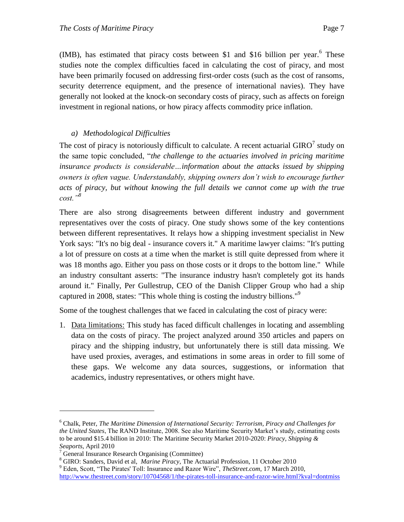(IMB), has estimated that piracy costs between \$1 and \$16 billion per year. $6$  These studies note the complex difficulties faced in calculating the cost of piracy, and most have been primarily focused on addressing first-order costs (such as the cost of ransoms, security deterrence equipment, and the presence of international navies). They have generally not looked at the knock-on secondary costs of piracy, such as affects on foreign investment in regional nations, or how piracy affects commodity price inflation.

#### <span id="page-6-0"></span>*a) Methodological Difficulties*

The cost of piracy is notoriously difficult to calculate. A recent actuarial  $GIRO^7$  study on the same topic concluded, "*the challenge to the actuaries involved in pricing maritime insurance products is considerable…information about the attacks issued by shipping owners is often vague. Understandably, shipping owners don't wish to encourage further* acts of piracy, but without knowing the full details we cannot come up with the true *cost."<sup>8</sup>*

There are also strong disagreements between different industry and government representatives over the costs of piracy. One study shows some of the key contentions between different representatives. It relays how a shipping investment specialist in New York says: "It's no big deal - insurance covers it." A maritime lawyer claims: "It's putting a lot of pressure on costs at a time when the market is still quite depressed from where it was 18 months ago. Either you pass on those costs or it drops to the bottom line." While an industry consultant asserts: "The insurance industry hasn't completely got its hands around it." Finally, Per Gullestrup, CEO of the Danish Clipper Group who had a ship captured in 2008, states: "This whole thing is costing the industry billions."<sup>9</sup>

Some of the toughest challenges that we faced in calculating the cost of piracy were:

1. Data limitations: This study has faced difficult challenges in locating and assembling data on the costs of piracy. The project analyzed around 350 articles and papers on piracy and the shipping industry, but unfortunately there is still data missing. We have used proxies, averages, and estimations in some areas in order to fill some of these gaps. We welcome any data sources, suggestions, or information that academics, industry representatives, or others might have.

<sup>6</sup> Chalk, Peter, *The Maritime Dimension of International Security: Terrorism, Piracy and Challenges for the United States*, The RAND Institute, 2008. See also Maritime Security Market's study, estimating costs to be around \$15.4 billion in 2010: The Maritime Security Market 2010-2020: *Piracy, Shipping & Seaports*, April 2010

<sup>7</sup> General Insurance Research Organising (Committee)

<sup>8</sup> GIRO: Sanders, David et al, *Marine Piracy*, The Actuarial Profession, 11 October 2010

<sup>&</sup>lt;sup>9</sup> Eden, Scott, "The Pirates' Toll: Insurance and Razor Wire", *TheStreet.com*, 17 March 2010, <http://www.thestreet.com/story/10704568/1/the-pirates-toll-insurance-and-razor-wire.html?kval=dontmiss>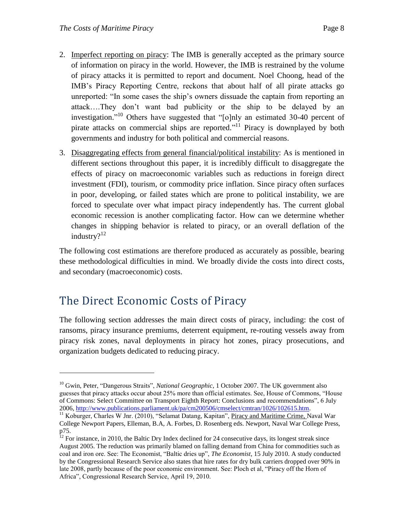- 2. Imperfect reporting on piracy: The IMB is generally accepted as the primary source of information on piracy in the world. However, the IMB is restrained by the volume of piracy attacks it is permitted to report and document. Noel Choong, head of the IMB's Piracy Reporting Centre, reckons that about half of all pirate attacks go unreported: "In some cases the ship's owners dissuade the captain from reporting an attack….They don't want bad publicity or the ship to be delayed by an investigation."<sup>10</sup> Others have suggested that "[o]nly an estimated 30-40 percent of pirate attacks on commercial ships are reported.<sup> $11$ </sup> Piracy is downplayed by both governments and industry for both political and commercial reasons.
- 3. Disaggregating effects from general financial/political instability: As is mentioned in different sections throughout this paper, it is incredibly difficult to disaggregate the effects of piracy on macroeconomic variables such as reductions in foreign direct investment (FDI), tourism, or commodity price inflation. Since piracy often surfaces in poor, developing, or failed states which are prone to political instability, we are forced to speculate over what impact piracy independently has. The current global economic recession is another complicating factor. How can we determine whether changes in shipping behavior is related to piracy, or an overall deflation of the industry?<sup>12</sup>

The following cost estimations are therefore produced as accurately as possible, bearing these methodological difficulties in mind. We broadly divide the costs into direct costs, and secondary (macroeconomic) costs.

### <span id="page-7-0"></span>The Direct Economic Costs of Piracy

 $\overline{a}$ 

The following section addresses the main direct costs of piracy, including: the cost of ransoms, piracy insurance premiums, deterrent equipment, re-routing vessels away from piracy risk zones, naval deployments in piracy hot zones, piracy prosecutions, and organization budgets dedicated to reducing piracy.

<sup>&</sup>lt;sup>10</sup> Gwin, Peter, "Dangerous Straits", *National Geographic*, 1 October 2007. The UK government also guesses that piracy attacks occur about 25% more than official estimates. See, House of Commons, "House of Commons: Select Committee on Transport Eighth Report: Conclusions and recommendations", 6 July 2006, [http://www.publications.parliament.uk/pa/cm200506/cmselect/cmtran/1026/102615.htm.](http://www.publications.parliament.uk/pa/cm200506/cmselect/cmtran/1026/102615.htm)

<sup>&</sup>lt;sup>11</sup> Koburger, Charles W Jnr. (2010), "Selamat Datang, Kapitan", Piracy and Maritime Crime, Naval War College Newport Papers, Elleman, B.A, A. Forbes, D. Rosenberg eds. Newport, Naval War College Press, p75.

 $12$  For instance, in 2010, the Baltic Dry Index declined for 24 consecutive days, its longest streak since August 2005. The reduction was primarily blamed on falling demand from China for commodities such as coal and iron ore. See: The Economist, "Baltic dries up", *The Economist*, 15 July 2010. A study conducted by the Congressional Research Service also states that hire rates for dry bulk carriers dropped over 90% in late 2008, partly because of the poor economic environment. See: Ploch et al, "Piracy off the Horn of Africa‖, Congressional Research Service, April 19, 2010.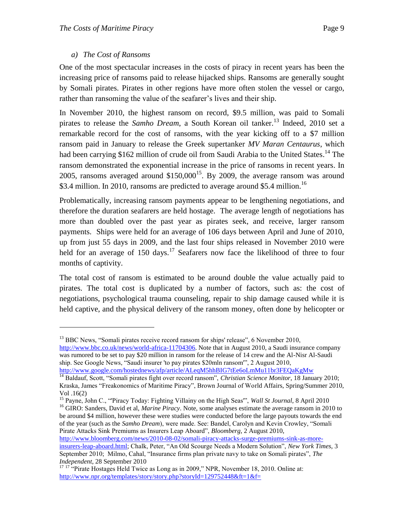#### *a) The Cost of Ransoms*

<span id="page-8-0"></span>One of the most spectacular increases in the costs of piracy in recent years has been the increasing price of ransoms paid to release hijacked ships. Ransoms are generally sought by Somali pirates. Pirates in other regions have more often stolen the vessel or cargo, rather than ransoming the value of the seafarer's lives and their ship.

In November 2010, the highest ransom on record, \$9.5 million, was paid to Somali pirates to release the *Samho Dream*, a South Korean oil tanker. <sup>13</sup> Indeed, 2010 set a remarkable record for the cost of ransoms, with the year kicking off to a \$7 million ransom paid in January to release the Greek supertanker *MV Maran Centaurus*, which had been carrying \$162 million of crude oil from Saudi Arabia to the United States.<sup>14</sup> The ransom demonstrated the exponential increase in the price of ransoms in recent years. In 2005, ransoms averaged around  $$150,000^{15}$ . By 2009, the average ransom was around \$3.4 million. In 2010, ransoms are predicted to average around \$5.4 million.<sup>16</sup>

Problematically, increasing ransom payments appear to be lengthening negotiations, and therefore the duration seafarers are held hostage. The average length of negotiations has more than doubled over the past year as pirates seek, and receive, larger ransom payments. Ships were held for an average of 106 days between April and June of 2010, up from just 55 days in 2009, and the last four ships released in November 2010 were held for an average of 150 days.<sup>17</sup> Seafarers now face the likelihood of three to four months of captivity.

The total cost of ransom is estimated to be around double the value actually paid to pirates. The total cost is duplicated by a number of factors, such as: the cost of negotiations, psychological trauma counseling, repair to ship damage caused while it is held captive, and the physical delivery of the ransom money, often done by helicopter or

 $\overline{a}$ 

<sup>16</sup> GIRO: Sanders, David et al, *Marine Piracy*. Note, some analyses estimate the average ransom in 2010 to be around \$4 million, however these were studies were conducted before the large payouts towards the end of the year (such as the *Samho Dream*), were made. See: Bandel, Carolyn and Kevin Crowley, "Somali Pirate Attacks Sink Premiums as Insurers Leap Aboard", *Bloomberg*, 2 August 2010,

[http://www.bloomberg.com/news/2010-08-02/somali-piracy-attacks-surge-premiums-sink-as-more](http://www.bloomberg.com/news/2010-08-02/somali-piracy-attacks-surge-premiums-sink-as-more-insurers-leap-aboard.html)[insurers-leap-aboard.html;](http://www.bloomberg.com/news/2010-08-02/somali-piracy-attacks-surge-premiums-sink-as-more-insurers-leap-aboard.html) Chalk, Peter, "An Old Scourge Needs a Modern Solution", *New York Times*, 3 September 2010; Milmo, Cahal, "Insurance firms plan private navy to take on Somali pirates", *The Independent*, 28 September 2010

<sup>&</sup>lt;sup>13</sup> BBC News, "Somali pirates receive record ransom for ships' release", 6 November 2010, [http://www.bbc.co.uk/news/world-africa-11704306.](http://www.bbc.co.uk/news/world-africa-11704306) Note that in August 2010, a Saudi insurance company

was rumored to be set to pay \$20 million in ransom for the release of 14 crew and the Al-Nisr Al-Saudi ship. See Google News, "Saudi insurer 'to pay pirates \$20mln ransom", 2 August 2010,

<http://www.google.com/hostednews/afp/article/ALeqM5hhBIG7tEe6oLmMu11br3FEQaKgMw> <sup>14</sup> Baldauf, Scott, "Somali pirates fight over record ransom", *Christian Science Monitor*, 18 January 2010; Kraska, James "Freakonomics of Maritime Piracy", Brown Journal of World Affairs, Spring/Summer 2010,

Vol .16(2)

<sup>&</sup>lt;sup>15</sup> Payne, John C., "Piracy Today: Fighting Villainy on the High Seas", *Wall St Journal*, 8 April 2010

<sup>&</sup>lt;sup>17 17</sup> "Pirate Hostages Held Twice as Long as in 2009," NPR, November 18, 2010. Online at: <http://www.npr.org/templates/story/story.php?storyId=129752448&ft=1&f=>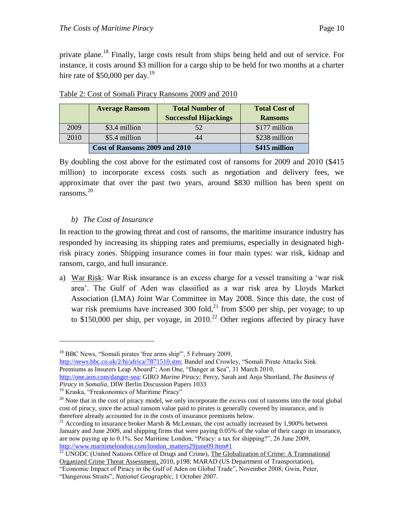private plane.<sup>18</sup> Finally, large costs result from ships being held and out of service. For instance, it costs around \$3 million for a cargo ship to be held for two months at a charter hire rate of \$50,000 per day.<sup>19</sup>

|      | <b>Total Number of</b><br><b>Average Ransom</b> |                              | <b>Total Cost of</b> |
|------|-------------------------------------------------|------------------------------|----------------------|
|      |                                                 | <b>Successful Hijackings</b> | <b>Ransoms</b>       |
| 2009 | \$3.4 million                                   | 52                           | \$177 million        |
| 2010 | \$5.4 million                                   |                              | \$238 million        |
|      | Cost of Ransoms 2009 and 2010                   |                              | \$415 million        |

Table 2: Cost of Somali Piracy Ransoms 2009 and 2010

By doubling the cost above for the estimated cost of ransoms for 2009 and 2010 (\$415 million) to incorporate excess costs such as negotiation and delivery fees, we approximate that over the past two years, around \$830 million has been spent on ransoms. $20$ 

#### <span id="page-9-0"></span>*b) The Cost of Insurance*

In reaction to the growing threat and cost of ransoms, the maritime insurance industry has responded by increasing its shipping rates and premiums, especially in designated highrisk piracy zones. Shipping insurance comes in four main types: war risk, kidnap and ransom, cargo, and hull insurance.

a) War Risk: War Risk insurance is an excess charge for a vessel transiting a 'war risk area'. The Gulf of Aden was classified as a war risk area by Lloyds Market Association (LMA) Joint War Committee in May 2008. Since this date, the cost of war risk premiums have increased 300 fold,<sup>21</sup> from \$500 per ship, per voyage; to up to \$150,000 per ship, per voyage, in  $2010<sup>22</sup>$  Other regions affected by piracy have

[http://news.bbc.co.uk/2/hi/africa/7871510.stm;](http://news.bbc.co.uk/2/hi/africa/7871510.stm) Bandel and Crowley, "Somali Pirate Attacks Sink Premiums as Insurers Leap Aboard"; Aon One, "Danger at Sea", 31 March 2010,

[http://one.aon.com/danger-sea;](http://one.aon.com/danger-sea) GIRO *Marine Piracy;* Percy, Sarah and Anja Shortland, *The Business of Piracy in Somalia*, DIW Berlin Discussion Papers 1033

 $18$  BBC News, "Somali pirates 'free arms ship", 5 February 2009,

<sup>&</sup>lt;sup>19</sup> Kraska, "Freakonomics of Maritime Piracy"

<sup>&</sup>lt;sup>20</sup> Note that in the cost of piracy model, we only incorporate the *excess* cost of ransoms into the total global cost of piracy, since the actual ransom value paid to pirates is generally covered by insurance, and is therefore already accounted for in the costs of insurance premiums below.

<sup>&</sup>lt;sup>21</sup> According to insurance broker Marsh & McLennan, the cost actually increased by 1,900% between January and June 2009, and shipping firms that were paying 0.05% of the value of their cargo in insurance, are now paying up to 0.1%. See Maritime London, "Piracy: a tax for shipping?", 26 June 2009, [http://www.maritimelondon.com/london\\_matters29june09.htm#1](http://www.maritimelondon.com/london_matters29june09.htm#1)

 $^{22}$  UNODC (United Nations Office of Drugs and Crime), The Globalization of Crime: A Transnational Organized Crime Threat Assessment, 2010, p198; MARAD (US Department of Transportation),

<sup>―</sup>Economic Impact of Piracy in the Gulf of Aden on Global Trade‖, November 2008; Gwin, Peter, ―Dangerous Straits‖, *National Geographic,* 1 October 2007.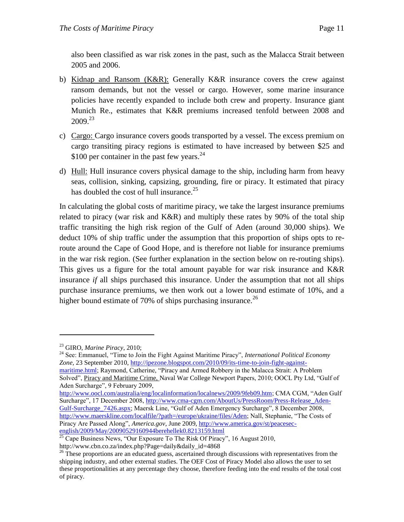also been classified as war risk zones in the past, such as the Malacca Strait between 2005 and 2006.

- b) Kidnap and Ransom (K&R): Generally K&R insurance covers the crew against ransom demands, but not the vessel or cargo. However, some marine insurance policies have recently expanded to include both crew and property. Insurance giant Munich Re., estimates that K&R premiums increased tenfold between 2008 and 2009. 23
- c) Cargo: Cargo insurance covers goods transported by a vessel. The excess premium on cargo transiting piracy regions is estimated to have increased by between \$25 and \$100 per container in the past few years. $24$
- d) Hull: Hull insurance covers physical damage to the ship, including harm from heavy seas, collision, sinking, capsizing, grounding, fire or piracy. It estimated that piracy has doubled the cost of hull insurance.<sup>25</sup>

In calculating the global costs of maritime piracy, we take the largest insurance premiums related to piracy (war risk and  $K\&R$ ) and multiply these rates by 90% of the total ship traffic transiting the high risk region of the Gulf of Aden (around 30,000 ships). We deduct 10% of ship traffic under the assumption that this proportion of ships opts to reroute around the Cape of Good Hope, and is therefore not liable for insurance premiums in the war risk region. (See further explanation in the section below on re-routing ships). This gives us a figure for the total amount payable for war risk insurance and K&R insurance *if* all ships purchased this insurance. Under the assumption that not all ships purchase insurance premiums, we then work out a lower bound estimate of 10%, and a higher bound estimate of 70% of ships purchasing insurance.<sup>26</sup>

 $\overline{a}$ 

<sup>24</sup> See: Emmanuel, "Time to Join the Fight Against Maritime Piracy", *International Political Economy Zone,* 23 September 2010, [http://ipezone.blogspot.com/2010/09/its-time-to-join-fight-against-](http://ipezone.blogspot.com/2010/09/its-time-to-join-fight-against-maritime.html)

[maritime.html;](http://ipezone.blogspot.com/2010/09/its-time-to-join-fight-against-maritime.html) Raymond, Catherine, "Piracy and Armed Robbery in the Malacca Strait: A Problem Solved", Piracy and Maritime Crime, Naval War College Newport Papers, 2010; OOCL Pty Ltd, "Gulf of Aden Surcharge", 9 February 2009,

[http://www.oocl.com/australia/eng/localinformation/localnews/2009/9feb09.htm;](http://www.oocl.com/australia/eng/localinformation/localnews/2009/9feb09.htm) CMA CGM, "Aden Gulf Surcharge", 17 December 2008, [http://www.cma-cgm.com/AboutUs/PressRoom/Press-Release\\_Aden-](http://www.cma-cgm.com/AboutUs/PressRoom/Press-Release_Aden-Gulf-Surcharge_7426.aspx)Gulf-Surcharge 7426.aspx; Maersk Line, "Gulf of Aden Emergency Surcharge", 8 December 2008, [http://www.maerskline.com/localfile/?path=/europe/ukraine/files/Aden;](http://www.maerskline.com/localfile/?path=/europe/ukraine/files/Aden) Nall, Stephanie, "The Costs of Piracy Are Passed Along", *America.gov*, June 2009, [http://www.america.gov/st/peacesec](http://www.america.gov/st/peacesec-english/2009/May/20090529160944berehellek0.8213159.html)[english/2009/May/20090529160944berehellek0.8213159.html](http://www.america.gov/st/peacesec-english/2009/May/20090529160944berehellek0.8213159.html)

<sup>23</sup> GIRO, *Marine Piracy*, 2010;

 $\frac{25}{25}$  Cape Business News, "Our Exposure To The Risk Of Piracy", 16 August 2010, [http://www.cbn.co.za/index.php?Page=daily&daily\\_id=4868](http://www.cbn.co.za/index.php?Page=daily&daily_id=4868)

<sup>&</sup>lt;sup>26</sup> These proportions are an educated guess, ascertained through discussions with representatives from the shipping industry, and other external studies. The OEF Cost of Piracy Model also allows the user to set these proportionalities at any percentage they choose, therefore feeding into the end results of the total cost of piracy.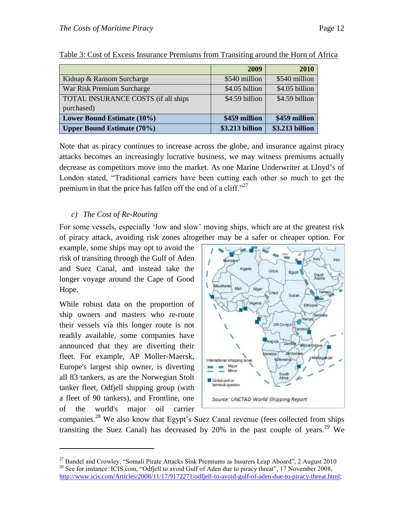|                                     | 2009            | 2010            |
|-------------------------------------|-----------------|-----------------|
| Kidnap & Ransom Surcharge           | \$540 million   | \$540 million   |
| War Risk Premium Surcharge          | \$4.05 billion  | \$4.05 billion  |
| TOTAL INSURANCE COSTS (if all ships | \$4.59 billion  | \$4.59 billion  |
| purchased)                          |                 |                 |
| Lower Bound Estimate (10%)          | \$459 million   | \$459 million   |
| <b>Upper Bound Estimate (70%)</b>   | \$3.213 billion | \$3.213 billion |

| Table 3: Cost of Excess Insurance Premiums from Transiting around the Horn of Africa |
|--------------------------------------------------------------------------------------|
|--------------------------------------------------------------------------------------|

Note that as piracy continues to increase across the globe, and insurance against piracy attacks becomes an increasingly lucrative business, we may witness premiums actually decrease as competitors move into the market. As one Marine Underwriter at Lloyd's of London stated, "Traditional carriers have been cutting each other so much to get the premium in that the price has fallen off the end of a cliff. $27$ 

#### <span id="page-11-0"></span>*c) The Cost of Re-Routing*

For some vessels, especially 'low and slow' moving ships, which are at the greatest risk of piracy attack, avoiding risk zones altogether may be a safer or cheaper option. For

example, some ships may opt to avoid the risk of transiting through the Gulf of Aden and Suez Canal, and instead take the longer voyage around the Cape of Good Hope.

While robust data on the proportion of ship owners and masters who re-route their vessels via this longer route is not readily available, some companies have announced that they are diverting their fleet. For example, AP Moller-Maersk, Europe's largest ship owner, is diverting all 83 tankers, as are the Norwegian Stolt tanker fleet, Odfjell shipping group (with a fleet of 90 tankers), and Frontline, one of the world's major oil carrier

 $\overline{a}$ 



companies.<sup>28</sup> We also know that Egypt's Suez Canal revenue (fees collected from ships transiting the Suez Canal) has decreased by 20% in the past couple of years.<sup>29</sup> We

 $27$  Bandel and Crowley, "Somali Pirate Attacks Sink Premiums as Insurers Leap Aboard", 2 August 2010 <sup>28</sup> See for instance: ICIS.com, "Odfjell to avoid Gulf of Aden due to piracy threat", 17 November 2008, [http://www.icis.com/Articles/2008/11/17/9172271/odfjell-to-avoid-gulf-of-aden-due-to-piracy-threat.html;](http://www.icis.com/Articles/2008/11/17/9172271/odfjell-to-avoid-gulf-of-aden-due-to-piracy-threat.html)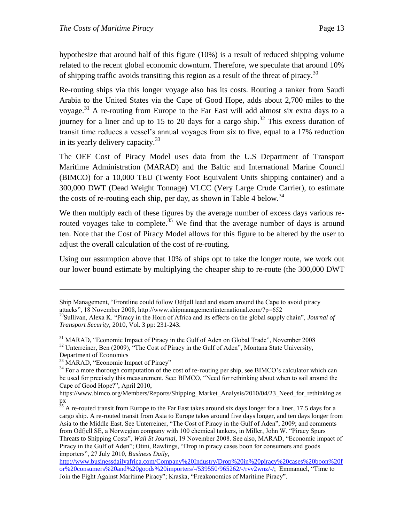hypothesize that around half of this figure (10%) is a result of reduced shipping volume related to the recent global economic downturn. Therefore, we speculate that around 10% of shipping traffic avoids transiting this region as a result of the threat of piracy.<sup>30</sup>

Re-routing ships via this longer voyage also has its costs. Routing a tanker from Saudi Arabia to the United States via the Cape of Good Hope, adds about 2,700 miles to the voyage.<sup>31</sup> A re-routing from Europe to the Far East will add almost six extra days to a journey for a liner and up to 15 to 20 days for a cargo ship. <sup>32</sup> This excess duration of transit time reduces a vessel's annual voyages from six to five, equal to a 17% reduction in its yearly delivery capacity.<sup>33</sup>

The OEF Cost of Piracy Model uses data from the U.S Department of Transport Maritime Administration (MARAD) and the Baltic and International Marine Council (BIMCO) for a 10,000 TEU (Twenty Foot Equivalent Units shipping container) and a 300,000 DWT (Dead Weight Tonnage) VLCC (Very Large Crude Carrier), to estimate the costs of re-routing each ship, per day, as shown in Table 4 below.<sup>34</sup>

We then multiply each of these figures by the average number of excess days various rerouted voyages take to complete.<sup>35</sup> We find that the average number of days is around ten. Note that the Cost of Piracy Model allows for this figure to be altered by the user to adjust the overall calculation of the cost of re-routing.

Using our assumption above that 10% of ships opt to take the longer route, we work out our lower bound estimate by multiplying the cheaper ship to re-route (the 300,000 DWT

Ship Management, "Frontline could follow Odfjell lead and steam around the Cape to avoid piracy attacks‖, 18 November 2008, http://www.shipmanagementinternational.com/?p=652

<sup>&</sup>lt;sup>29</sup>Sullivan, Alexa K. "Piracy in the Horn of Africa and its effects on the global supply chain", *Journal of Transport Security,* 2010, Vol. 3 pp: 231-243.

<sup>&</sup>lt;sup>31</sup> MARAD, "Economic Impact of Piracy in the Gulf of Aden on Global Trade", November 2008  $32$  Unterreiner, Ben (2009), "The Cost of Piracy in the Gulf of Aden", Montana State University,

Department of Economics

<sup>&</sup>lt;sup>33</sup> MARAD, "Economic Impact of Piracy"

<sup>&</sup>lt;sup>34</sup> For a more thorough computation of the cost of re-routing per ship, see BIMCO's calculator which can be used for precisely this measurement. See: BIMCO, "Need for rethinking about when to sail around the Cape of Good Hope?", April 2010,

https://www.bimco.org/Members/Reports/Shipping\_Market\_Analysis/2010/04/23\_Need\_for\_rethinking.as px

 $35$  A re-routed transit from Europe to the Far East takes around six days longer for a liner, 17.5 days for a cargo ship. A re-routed transit from Asia to Europe takes around five days longer, and ten days longer from Asia to the Middle East. See Unterreiner, "The Cost of Piracy in the Gulf of Aden", 2009; and comments from Odfjell SE, a Norwegian company with 100 chemical tankers, in Miller, John W. "Piracy Spurs Threats to Shipping Costs", *Wall St Journal*, 19 November 2008. See also, MARAD, "Economic impact of Piracy in the Gulf of Aden"; Otini, Rawlings, "Drop in piracy cases boon for consumers and goods importers", 27 July 2010, *Business Daily*,

[http://www.businessdailyafrica.com/Company%20Industry/Drop%20in%20piracy%20cases%20boon%20f](http://www.businessdailyafrica.com/Company%20Industry/Drop%20in%20piracy%20cases%20boon%20for%20consumers%20and%20goods%20importers/-/539550/965262/-/rvv2wnz/-/) [or%20consumers%20and%20goods%20importers/-/539550/965262/-/rvv2wnz/-/;](http://www.businessdailyafrica.com/Company%20Industry/Drop%20in%20piracy%20cases%20boon%20for%20consumers%20and%20goods%20importers/-/539550/965262/-/rvv2wnz/-/) Emmanuel, "Time to Join the Fight Against Maritime Piracy"; Kraska, "Freakonomics of Maritime Piracy".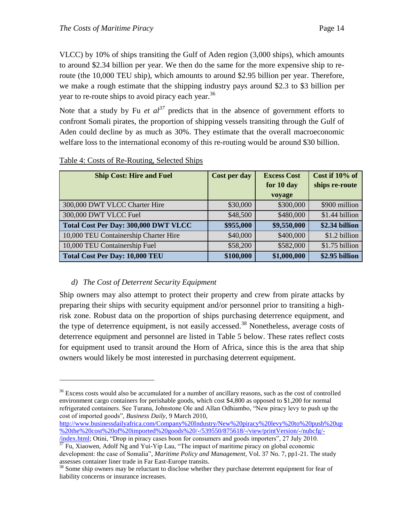VLCC) by 10% of ships transiting the Gulf of Aden region (3,000 ships), which amounts to around \$2.34 billion per year. We then do the same for the more expensive ship to reroute (the 10,000 TEU ship), which amounts to around \$2.95 billion per year. Therefore, we make a rough estimate that the shipping industry pays around \$2.3 to \$3 billion per year to re-route ships to avoid piracy each year.<sup>36</sup>

Note that a study by Fu *et*  $al^{37}$  predicts that in the absence of government efforts to confront Somali pirates, the proportion of shipping vessels transiting through the Gulf of Aden could decline by as much as 30%. They estimate that the overall macroeconomic welfare loss to the international economy of this re-routing would be around \$30 billion.

| <b>Ship Cost: Hire and Fuel</b>       | Cost per day | <b>Excess Cost</b> | Cost if 10% of |
|---------------------------------------|--------------|--------------------|----------------|
|                                       |              | for 10 day         | ships re-route |
|                                       |              | voyage             |                |
| 300,000 DWT VLCC Charter Hire         | \$30,000     | \$300,000          | \$900 million  |
| 300,000 DWT VLCC Fuel                 | \$48,500     | \$480,000          | \$1.44 billion |
| Total Cost Per Day: 300,000 DWT VLCC  | \$955,000    | \$9,550,000        | \$2.34 billion |
| 10,000 TEU Containership Charter Hire | \$40,000     | \$400,000          | \$1.2 billion  |
| 10,000 TEU Containership Fuel         | \$58,200     | \$582,000          | \$1.75 billion |
| <b>Total Cost Per Day: 10,000 TEU</b> | \$100,000    | \$1,000,000        | \$2.95 billion |

#### Table 4: Costs of Re-Routing, Selected Ships

#### <span id="page-13-0"></span>*d) The Cost of Deterrent Security Equipment*

 $\overline{a}$ 

Ship owners may also attempt to protect their property and crew from pirate attacks by preparing their ships with security equipment and/or personnel prior to transiting a highrisk zone. Robust data on the proportion of ships purchasing deterrence equipment, and the type of deterrence equipment, is not easily accessed.<sup>38</sup> Nonetheless, average costs of deterrence equipment and personnel are listed in Table 5 below. These rates reflect costs for equipment used to transit around the Horn of Africa, since this is the area that ship owners would likely be most interested in purchasing deterrent equipment.

<sup>&</sup>lt;sup>36</sup> Excess costs would also be accumulated for a number of ancillary reasons, such as the cost of controlled environment cargo containers for perishable goods, which cost \$4,800 as opposed to \$1,200 for normal refrigerated containers. See Turana, Johnstone Ole and Allan Odhiambo, "New piracy levy to push up the cost of imported goods", *Business Daily*, 9 March 2010,

[http://www.businessdailyafrica.com/Company%20Industry/New%20piracy%20levy%20to%20push%20up](http://www.businessdailyafrica.com/Company%20Industry/New%20piracy%20levy%20to%20push%20up%20the%20cost%20of%20imported%20goods%20/-/539550/875618/-/view/printVersion/-/nubcfg/-/index.html) [%20the%20cost%20of%20imported%20goods%20/-/539550/875618/-/view/printVersion/-/nubcfg/-](http://www.businessdailyafrica.com/Company%20Industry/New%20piracy%20levy%20to%20push%20up%20the%20cost%20of%20imported%20goods%20/-/539550/875618/-/view/printVersion/-/nubcfg/-/index.html)

*i*ndex.html; Otini, "Drop in piracy cases boon for consumers and goods importers", 27 July 2010.  $37$  Fu, Xiaowen, Adolf Ng and Yui-Yip Lau, "The impact of maritime piracy on global economic development: the case of Somalia", *Maritime Policy and Management*, Vol. 37 No. 7, pp1-21. The study

assesses container liner trade in Far East-Europe transits. <sup>38</sup> Some ship owners may be reluctant to disclose whether they purchase deterrent equipment for fear of

liability concerns or insurance increases.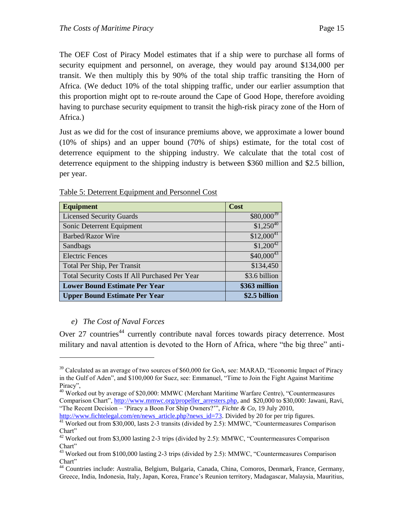The OEF Cost of Piracy Model estimates that if a ship were to purchase all forms of security equipment and personnel, on average, they would pay around \$134,000 per transit. We then multiply this by 90% of the total ship traffic transiting the Horn of Africa. (We deduct 10% of the total shipping traffic, under our earlier assumption that this proportion might opt to re-route around the Cape of Good Hope, therefore avoiding having to purchase security equipment to transit the high-risk piracy zone of the Horn of Africa.)

Just as we did for the cost of insurance premiums above, we approximate a lower bound (10% of ships) and an upper bound (70% of ships) estimate, for the total cost of deterrence equipment to the shipping industry. We calculate that the total cost of deterrence equipment to the shipping industry is between \$360 million and \$2.5 billion, per year.

| <b>Equipment</b>                               | Cost           |
|------------------------------------------------|----------------|
| <b>Licensed Security Guards</b>                | $$80,000^{39}$ |
| Sonic Deterrent Equipment                      | $$1,250^{40}$  |
| <b>Barbed/Razor Wire</b>                       | $$12,000^{41}$ |
| Sandbags                                       | $$1,200^{42}$  |
| <b>Electric Fences</b>                         | $$40,000^{43}$ |
| Total Per Ship, Per Transit                    | \$134,450      |
| Total Security Costs If All Purchased Per Year | \$3.6 billion  |
| <b>Lower Bound Estimate Per Year</b>           | \$363 million  |
| <b>Upper Bound Estimate Per Year</b>           | \$2.5 billion  |

Table 5: Deterrent Equipment and Personnel Cost

#### <span id="page-14-0"></span>*e) The Cost of Naval Forces*

 $\overline{a}$ 

Over 27 countries<sup>44</sup> currently contribute naval forces towards piracy deterrence. Most military and naval attention is devoted to the Horn of Africa, where "the big three" anti-

 $39$  Calculated as an average of two sources of \$60,000 for GoA, see: MARAD, "Economic Impact of Piracy in the Gulf of Aden", and \$100,000 for Suez, see: Emmanuel, "Time to Join the Fight Against Maritime Piracy".

<sup>&</sup>lt;sup>40</sup> Worked out by average of \$20,000: MMWC (Merchant Maritime Warfare Centre), "Countermeasures Comparison Chart", [http://www.mmwc.org/propeller\\_arresters.php,](http://www.mmwc.org/propeller_arresters.php) and \$20,000 to \$30,000: Jawani, Ravi, ―The Recent Decision – ‗Piracy a Boon For Ship Owners?'‖, *Fichte & Co,* 19 July 2010,

[http://www.fichtelegal.com/en/news\\_article.php?news\\_id=73.](http://www.fichtelegal.com/en/news_article.php?news_id=73) Divided by 20 for per trip figures. <sup>41</sup> Worked out from \$30,000, lasts 2-3 transits (divided by 2.5): MMWC, "Countermeasures Comparison

Chart"  $42$  Worked out from \$3,000 lasting 2-3 trips (divided by 2.5): MMWC, "Countermeasures Comparison Chart"

 $43$  Worked out from \$100,000 lasting 2-3 trips (divided by 2.5): MMWC, "Countermeasures Comparison Chart"

<sup>44</sup> Countries include: Australia, Belgium, Bulgaria, Canada, China, Comoros, Denmark, France, Germany, Greece, India, Indonesia, Italy, Japan, Korea, France's Reunion territory, Madagascar, Malaysia, Mauritius,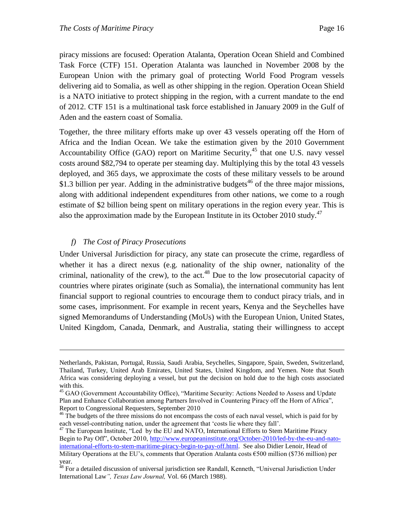piracy missions are focused: Operation Atalanta, Operation Ocean Shield and Combined Task Force (CTF) 151. Operation Atalanta was launched in November 2008 by the European Union with the primary goal of protecting World Food Program vessels delivering aid to Somalia, as well as other shipping in the region. Operation Ocean Shield is a NATO initiative to protect shipping in the region, with a current mandate to the end of 2012. CTF 151 is a multinational task force established in January 2009 in the Gulf of Aden and the eastern coast of Somalia.

Together, the three military efforts make up over 43 vessels operating off the Horn of Africa and the Indian Ocean. We take the estimation given by the 2010 Government Accountability Office (GAO) report on Maritime Security,<sup>45</sup> that one U.S. navy vessel costs around \$82,794 to operate per steaming day. Multiplying this by the total 43 vessels deployed, and 365 days, we approximate the costs of these military vessels to be around \$1.3 billion per year. Adding in the administrative budgets<sup>46</sup> of the three major missions, along with additional independent expenditures from other nations, we come to a rough estimate of \$2 billion being spent on military operations in the region every year. This is also the approximation made by the European Institute in its October 2010 study.<sup>47</sup>

#### <span id="page-15-0"></span>*f) The Cost of Piracy Prosecutions*

 $\overline{a}$ 

Under Universal Jurisdiction for piracy, any state can prosecute the crime, regardless of whether it has a direct nexus (e.g. nationality of the ship owner, nationality of the criminal, nationality of the crew), to the act.<sup>48</sup> Due to the low prosecutorial capacity of countries where pirates originate (such as Somalia), the international community has lent financial support to regional countries to encourage them to conduct piracy trials, and in some cases, imprisonment. For example in recent years, Kenya and the Seychelles have signed Memorandums of Understanding (MoUs) with the European Union, United States, United Kingdom, Canada, Denmark, and Australia, stating their willingness to accept

Netherlands, Pakistan, Portugal, Russia, Saudi Arabia, Seychelles, Singapore, Spain, Sweden, Switzerland, Thailand, Turkey, United Arab Emirates, United States, United Kingdom, and Yemen. Note that South Africa was considering deploying a vessel, but put the decision on hold due to the high costs associated with this.

<sup>&</sup>lt;sup>45</sup> GAO (Government Accountability Office), "Maritime Security: Actions Needed to Assess and Update Plan and Enhance Collaboration among Partners Involved in Countering Piracy off the Horn of Africa", Report to Congressional Requesters, September 2010

<sup>&</sup>lt;sup>46</sup> The budgets of the three missions do not encompass the costs of each naval vessel, which is paid for by each vessel-contributing nation, under the agreement that 'costs lie where they fall'.

<sup>&</sup>lt;sup>47</sup> The European Institute, "Led by the EU and NATO, International Efforts to Stem Maritime Piracy Begin to Pay Off", October 2010, [http://www.europeaninstitute.org/October-2010/led-by-the-eu-and-nato](http://www.europeaninstitute.org/October-2010/led-by-the-eu-and-nato-international-efforts-to-stem-maritime-piracy-begin-to-pay-off.html)[international-efforts-to-stem-maritime-piracy-begin-to-pay-off.html.](http://www.europeaninstitute.org/October-2010/led-by-the-eu-and-nato-international-efforts-to-stem-maritime-piracy-begin-to-pay-off.html) See also Didier Lenoir, Head of Military Operations at the EU's, comments that Operation Atalanta costs €500 million (\$736 million) per year.

<sup>&</sup>lt;sup>48</sup> For a detailed discussion of universal jurisdiction see Randall, Kenneth, "Universal Jurisdiction Under International Law*", Texas Law Journal,* Vol. 66 (March 1988).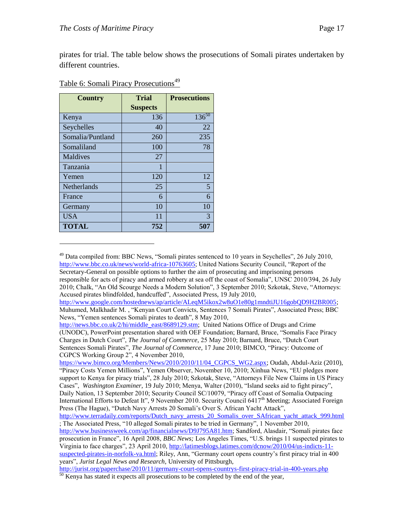$\overline{a}$ 

pirates for trial. The table below shows the prosecutions of Somali pirates undertaken by different countries.

| <b>Country</b>     | <b>Trial</b>    | <b>Prosecutions</b> |
|--------------------|-----------------|---------------------|
|                    | <b>Suspects</b> |                     |
| Kenya              | 136             | $136^{50}$          |
| Seychelles         | 40              | 22                  |
| Somalia/Puntland   | 260             | 235                 |
| Somaliland         | 100             | 78                  |
| Maldives           | 27              |                     |
| Tanzania           | 1               |                     |
| Yemen              | 120             | 12                  |
| <b>Netherlands</b> | 25              | 5                   |
| France             | 6               | 6                   |
| Germany            | 10              | 10                  |
| USA                | 11              | 3                   |
| <b>TOTAL</b>       | 752             | 507                 |

#### Table 6: Somali Piracy Prosecutions<sup>49</sup>

[http://www.google.com/hostednews/ap/article/ALeqM5ikox2w8uO1e80g1mndtiJU16gobQD9H2BR005;](http://www.google.com/hostednews/ap/article/ALeqM5ikox2w8uO1e80g1mndtiJU16gobQD9H2BR005) Muhumed, Malkhadir M., "Kenyan Court Convicts, Sentences 7 Somali Pirates", Associated Press; BBC News, "Yemen sentences Somali pirates to death", 8 May 2010,

 $^{49}$  Data compiled from: BBC News, "Somali pirates sentenced to 10 years in Seychelles", 26 July 2010, [http://www.bbc.co.uk/news/world-africa-10763605;](http://www.bbc.co.uk/news/world-africa-10763605) United Nations Security Council, "Report of the Secretary-General on possible options to further the aim of prosecuting and imprisoning persons responsible for acts of piracy and armed robbery at sea off the coast of Somalia", UNSC 2010/394, 26 July 2010; Chalk, "An Old Scourge Needs a Modern Solution", 3 September 2010; Szkotak, Steve, "Attorneys: Accused pirates blindfolded, handcuffed", Associated Press, 19 July 2010,

[http://news.bbc.co.uk/2/hi/middle\\_east/8689129.stm;](http://news.bbc.co.uk/2/hi/middle_east/8689129.stm) United Nations Office of Drugs and Crime (UNODC), PowerPoint presentation shared with OEF Foundation; Barnard, Bruce, "Somalis Face Piracy Charges in Dutch Court", *The Journal of Commerce*, 25 May 2010; Barnard, Bruce, "Dutch Court" Sentences Somali Pirates", *The Journal of Commerce*, 17 June 2010; BIMCO, "Piracy: Outcome of CGPCS Working Group 2", 4 November 2010,

https://www.bimco.org/Members/News/2010/2010/11/04 CGPCS WG2.aspx; Oudah, Abdul-Aziz (2010), "Piracy Costs Yemen Millions", Yemen Observer, November 10, 2010; Xinhua News, "EU pledges more support to Kenya for piracy trials", 28 July 2010; Szkotak, Steve, "Attorneys File New Claims in US Piracy Cases", *Washington Examiner*, 19 July 2010; Menya, Walter (2010), "Island seeks aid to fight piracy", Daily Nation, 13 September 2010; Security Council SC/10079, "Piracy off Coast of Somalia Outpacing International Efforts to Defeat It", 9 November 2010. Security Council 6417<sup>th</sup> Meeting; Associated Foreign Press (The Hague), "Dutch Navy Arrests 20 Somali's Over S. African Yacht Attack",

http://www.terradaily.com/reports/Dutch\_navy\_arrests\_20\_Somalis\_over\_SAfrican\_vacht\_attack\_999.html ; The Associated Press, "10 alleged Somali pirates to be tried in Germany", 1 November 2010,

[http://www.businessweek.com/ap/financialnews/D9J795A81.htm;](http://www.businessweek.com/ap/financialnews/D9J795A81.htm) Sandford, Alasdair, "Somali pirates face prosecution in France", 16 April 2008, *BBC News;* Los Angeles Times, "U.S. brings 11 suspected pirates to Virginia to face charges‖, 23 April 2010, [http://latimesblogs.latimes.com/dcnow/2010/04/us-indicts-11](http://latimesblogs.latimes.com/dcnow/2010/04/us-indicts-11-suspected-pirates-in-norfolk-va.html) [suspected-pirates-in-norfolk-va.html;](http://latimesblogs.latimes.com/dcnow/2010/04/us-indicts-11-suspected-pirates-in-norfolk-va.html) Riley, Ann, "Germany court opens country's first piracy trial in 400 years‖, *Jurist Legal News and Research,* University of Pittsburgh*,* 

<http://jurist.org/paperchase/2010/11/germany-court-opens-countrys-first-piracy-trial-in-400-years.php> <sup>50</sup> Kenya has stated it expects all prosecutions to be completed by the end of the year,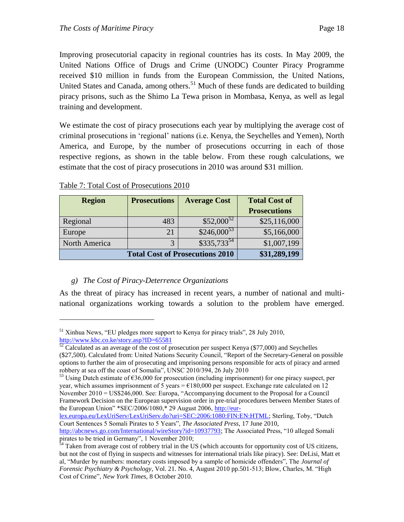Improving prosecutorial capacity in regional countries has its costs. In May 2009, the United Nations Office of Drugs and Crime (UNODC) Counter Piracy Programme received \$10 million in funds from the European Commission, the United Nations, United States and Canada, among others.<sup>51</sup> Much of these funds are dedicated to building piracy prisons, such as the Shimo La Tewa prison in Mombasa, Kenya, as well as legal training and development.

We estimate the cost of piracy prosecutions each year by multiplying the average cost of criminal prosecutions in ‗regional' nations (i.e. Kenya, the Seychelles and Yemen), North America, and Europe, by the number of prosecutions occurring in each of those respective regions, as shown in the table below. From these rough calculations, we estimate that the cost of piracy prosecutions in 2010 was around \$31 million.

| <b>Region</b>                          | <b>Average Cost</b><br><b>Prosecutions</b> |                 |                     |
|----------------------------------------|--------------------------------------------|-----------------|---------------------|
|                                        |                                            |                 | <b>Prosecutions</b> |
| Regional                               | $$52,000^{52}$$<br>483                     |                 |                     |
| Europe                                 | 21                                         | $$246,000^{53}$ | \$5,166,000         |
| North America                          | 3                                          | $$335,733^{54}$ | \$1,007,199         |
| <b>Total Cost of Prosecutions 2010</b> |                                            |                 | \$31,289,199        |

Table 7: Total Cost of Prosecutions 2010

 $\overline{a}$ 

#### <span id="page-17-0"></span>*g) The Cost of Piracy-Deterrence Organizations*

As the threat of piracy has increased in recent years, a number of national and multinational organizations working towards a solution to the problem have emerged.

[lex.europa.eu/LexUriServ/LexUriServ.do?uri=SEC:2006:1080:FIN:EN:HTML;](http://eur-lex.europa.eu/LexUriServ/LexUriServ.do?uri=SEC:2006:1080:FIN:EN:HTML) Sterling, Toby, "Dutch Court Sentences 5 Somali Pirates to 5 Years", *The Associated Press*, 17 June 2010,

 $51$  Xinhua News, "EU pledges more support to Kenya for piracy trials", 28 July 2010, <http://www.kbc.co.ke/story.asp?ID=65581>

 $52$  Calculated as an average of the cost of prosecution per suspect Kenya (\$77,000) and Seychelles (\$27,500). Calculated from: United Nations Security Council, "Report of the Secretary-General on possible options to further the aim of prosecuting and imprisoning persons responsible for acts of piracy and armed robbery at sea off the coast of Somalia", UNSC 2010/394, 26 July 2010

 $53$  Using Dutch estimate of  $636,000$  for prosecution (including imprisonment) for one piracy suspect, per year, which assumes imprisonment of 5 years =  $\epsilon$ 180,000 per suspect. Exchange rate calculated on 12 November 2010 = US\$246,000. See: Europa, "Accompanying document to the Proposal for a Council Framework Decision on the European supervision order in pre-trial procedures between Member States of the European Union" \*SEC/2006/1080, \* 29 August 2006, [http://eur-](http://eur-lex.europa.eu/LexUriServ/LexUriServ.do?uri=SEC:2006:1080:FIN:EN:HTML)

[http://abcnews.go.com/International/wireStory?id=10937793;](http://abcnews.go.com/International/wireStory?id=10937793) The Associated Press, "10 alleged Somali pirates to be tried in Germany", 1 November 2010;

 $54$  Taken from average cost of robbery trial in the US (which accounts for opportunity cost of US citizens, but not the cost of flying in suspects and witnesses for international trials like piracy). See: DeLisi, Matt et al, "Murder by numbers: monetary costs imposed by a sample of homicide offenders", The *Journal of Forensic Psychiatry & Psychology*, Vol. 21. No. 4, August 2010 pp.501-513; Blow, Charles, M. "High Cost of Crime", *New York Times*, 8 October 2010.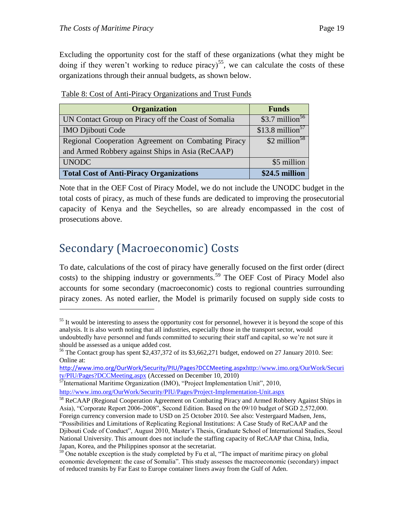Excluding the opportunity cost for the staff of these organizations (what they might be doing if they weren't working to reduce piracy)<sup>55</sup>, we can calculate the costs of these organizations through their annual budgets, as shown below.

| <b>Organization</b>                                 | <b>Funds</b>                  |
|-----------------------------------------------------|-------------------------------|
| UN Contact Group on Piracy off the Coast of Somalia | \$3.7 million $56$            |
| <b>IMO Djibouti Code</b>                            | $$13.8$ million <sup>57</sup> |
| Regional Cooperation Agreement on Combating Piracy  | \$2 million <sup>58</sup>     |
| and Armed Robbery against Ships in Asia (ReCAAP)    |                               |
| <b>UNODC</b>                                        | \$5 million                   |
| <b>Total Cost of Anti-Piracy Organizations</b>      | \$24.5 million                |

|--|

Note that in the OEF Cost of Piracy Model, we do not include the UNODC budget in the total costs of piracy, as much of these funds are dedicated to improving the prosecutorial capacity of Kenya and the Seychelles, so are already encompassed in the cost of prosecutions above.

### <span id="page-18-0"></span>Secondary (Macroeconomic) Costs

 $\overline{a}$ 

To date, calculations of the cost of piracy have generally focused on the first order (direct costs) to the shipping industry or governments.<sup>59</sup> The OEF Cost of Piracy Model also accounts for some secondary (macroeconomic) costs to regional countries surrounding piracy zones. As noted earlier, the Model is primarily focused on supply side costs to

<sup>&</sup>lt;sup>55</sup> It would be interesting to assess the opportunity cost for personnel, however it is beyond the scope of this analysis. It is also worth noting that all industries, especially those in the transport sector, would undoubtedly have personnel and funds committed to securing their staff and capital, so we're not sure it should be assessed as a unique added cost.

<sup>56</sup> The Contact group has spent \$2,437,372 of its \$3,662,271 budget, endowed on 27 January 2010. See: Online at:

<http://www.imo.org/OurWork/Security/PIU/Pages?DCCMeeting.aspx>[http://www.imo.org/OurWork/Securi](http://www.imo.org/OurWork/Security/PIU/Pages?DCCMeeting.aspx) ty/PIU/Pages?DCCMeeting.aspx (Accessed on December 10, 2010)

 $\frac{57}{57}$ International Maritime Organization (IMO), "Project Implementation Unit", 2010, <http://www.imo.org/OurWork/Security/PIU/Pages/Project-Implementation-Unit.aspx>

<sup>&</sup>lt;sup>58</sup> ReCAAP (Regional Cooperation Agreement on Combating Piracy and Armed Robbery Against Ships in Asia), "Corporate Report 2006-2008", Second Edition. Based on the 09/10 budget of SGD 2,572,000. Foreign currency conversion made to USD on 25 October 2010. See also: Vestergaard Madsen, Jens, ―Possibilities and Limitations of Replicating Regional Institutions: A Case Study of ReCAAP and the Djibouti Code of Conduct‖, August 2010, Master's Thesis, Graduate School of International Studies, Seoul National University. This amount does not include the staffing capacity of ReCAAP that China, India, Japan, Korea, and the Philippines sponsor at the secretariat.

 $59$  One notable exception is the study completed by Fu et al, "The impact of maritime piracy on global economic development: the case of Somalia". This study assesses the macroeconomic (secondary) impact of reduced transits by Far East to Europe container liners away from the Gulf of Aden.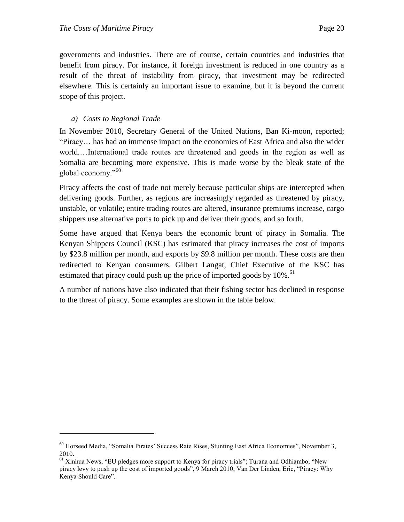governments and industries. There are of course, certain countries and industries that benefit from piracy. For instance, if foreign investment is reduced in one country as a result of the threat of instability from piracy, that investment may be redirected elsewhere. This is certainly an important issue to examine, but it is beyond the current scope of this project.

#### <span id="page-19-0"></span>*a) Costs to Regional Trade*

 $\overline{a}$ 

In November 2010, Secretary General of the United Nations, Ban Ki-moon, reported; "Piracy... has had an immense impact on the economies of East Africa and also the wider world.…International trade routes are threatened and goods in the region as well as Somalia are becoming more expensive. This is made worse by the bleak state of the global economy. $^{960}$ 

Piracy affects the cost of trade not merely because particular ships are intercepted when delivering goods. Further, as regions are increasingly regarded as threatened by piracy, unstable, or volatile; entire trading routes are altered, insurance premiums increase, cargo shippers use alternative ports to pick up and deliver their goods, and so forth.

Some have argued that Kenya bears the economic brunt of piracy in Somalia. The Kenyan Shippers Council (KSC) has estimated that piracy increases the cost of imports by \$23.8 million per month, and exports by \$9.8 million per month. These costs are then redirected to Kenyan consumers. Gilbert Langat, Chief Executive of the KSC has estimated that piracy could push up the price of imported goods by  $10\%$ .<sup>61</sup>

A number of nations have also indicated that their fishing sector has declined in response to the threat of piracy. Some examples are shown in the table below.

<sup>&</sup>lt;sup>60</sup> Horseed Media, "Somalia Pirates' Success Rate Rises, Stunting East Africa Economies", November 3, 2010.

<sup>&</sup>lt;sup>61</sup> Xinhua News, "EU pledges more support to Kenya for piracy trials"; Turana and Odhiambo, "New piracy levy to push up the cost of imported goods", 9 March 2010; Van Der Linden, Eric, "Piracy: Why Kenya Should Care".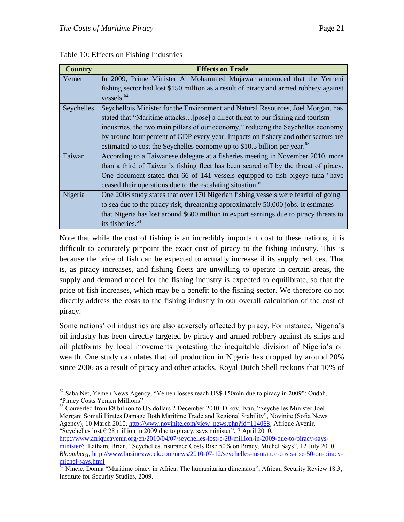$\overline{a}$ 

| <b>Country</b> | <b>Effects on Trade</b>                                                                |
|----------------|----------------------------------------------------------------------------------------|
| Yemen          | In 2009, Prime Minister Al Mohammed Mujawar announced that the Yemeni                  |
|                | fishing sector had lost \$150 million as a result of piracy and armed robbery against  |
|                | vessels. $62$                                                                          |
| Seychelles     | Seychellois Minister for the Environment and Natural Resources, Joel Morgan, has       |
|                | stated that "Maritime attacks [pose] a direct threat to our fishing and tourism        |
|                | industries, the two main pillars of our economy," reducing the Seychelles economy      |
|                | by around four percent of GDP every year. Impacts on fishery and other sectors are     |
|                | estimated to cost the Seychelles economy up to \$10.5 billion per year. <sup>63</sup>  |
| Taiwan         | According to a Taiwanese delegate at a fisheries meeting in November 2010, more        |
|                | than a third of Taiwan's fishing fleet has been scared off by the threat of piracy.    |
|                | One document stated that 66 of 141 vessels equipped to fish bigeye tuna "have"         |
|                | ceased their operations due to the escalating situation."                              |
| Nigeria        | One 2008 study states that over 170 Nigerian fishing vessels were fearful of going     |
|                | to sea due to the piracy risk, threatening approximately 50,000 jobs. It estimates     |
|                | that Nigeria has lost around \$600 million in export earnings due to piracy threats to |
|                | its fisheries. <sup>64</sup>                                                           |

Table 10: Effects on Fishing Industries

Note that while the cost of fishing is an incredibly important cost to these nations, it is difficult to accurately pinpoint the exact cost of piracy to the fishing industry. This is because the price of fish can be expected to actually increase if its supply reduces. That is, as piracy increases, and fishing fleets are unwilling to operate in certain areas, the supply and demand model for the fishing industry is expected to equilibrate, so that the price of fish increases, which may be a benefit to the fishing sector. We therefore do not directly address the costs to the fishing industry in our overall calculation of the cost of piracy.

Some nations' oil industries are also adversely affected by piracy. For instance, Nigeria's oil industry has been directly targeted by piracy and armed robbery against its ships and oil platforms by local movements protesting the inequitable division of Nigeria's oil wealth. One study calculates that oil production in Nigeria has dropped by around 20% since 2006 as a result of piracy and other attacks. Royal Dutch Shell reckons that 10% of

[http://www.afriqueavenir.org/en/2010/04/07/seychelles-lost-e-28-million-in-2009-due-to-piracy-says](http://www.afriqueavenir.org/en/2010/04/07/seychelles-lost-e-28-million-in-2009-due-to-piracy-says-minister/)[minister/;](http://www.afriqueavenir.org/en/2010/04/07/seychelles-lost-e-28-million-in-2009-due-to-piracy-says-minister/) Latham, Brian, "Seychelles Insurance Costs Rise 50% on Piracy, Michel Says", 12 July 2010, *Bloomberg*[, http://www.businessweek.com/news/2010-07-12/seychelles-insurance-costs-rise-50-on-piracy](http://www.businessweek.com/news/2010-07-12/seychelles-insurance-costs-rise-50-on-piracy-michel-says.html)[michel-says.html](http://www.businessweek.com/news/2010-07-12/seychelles-insurance-costs-rise-50-on-piracy-michel-says.html)

 $62$  Saba Net, Yemen News Agency, "Yemen losses reach US\$ 150mln due to piracy in 2009"; Oudah, "Piracy Costs Yemen Millions"

 $63$  Converted from  $68$  billion to US dollars 2 December 2010. Dikov, Ivan, "Seychelles Minister Joel Morgan: Somali Pirates Damage Both Maritime Trade and Regional Stability", Novinite (Sofia News) Agency), 10 March 2010[, http://www.novinite.com/view\\_news.php?id=114068;](http://www.novinite.com/view_news.php?id=114068) Afrique Avenir, "Seychelles lost  $\epsilon$  28 million in 2009 due to piracy, says minister", 7 April 2010,

<sup>&</sup>lt;sup>64</sup> Nincic, Donna "Maritime piracy in Africa: The humanitarian dimension", African Security Review 18.3, Institute for Security Studies, 2009.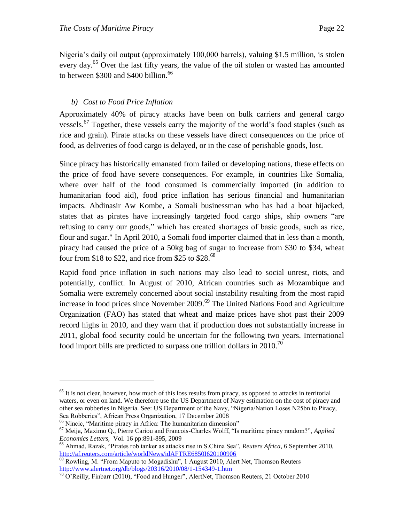Nigeria's daily oil output (approximately 100,000 barrels), valuing \$1.5 million, is stolen every day.<sup>65</sup> Over the last fifty years, the value of the oil stolen or wasted has amounted to between  $$300$  and  $$400$  billion.<sup>66</sup>

#### <span id="page-21-0"></span>*b) Cost to Food Price Inflation*

Approximately 40% of piracy attacks have been on bulk carriers and general cargo vessels.<sup>67</sup> Together, these vessels carry the majority of the world's food staples (such as rice and grain). Pirate attacks on these vessels have direct consequences on the price of food, as deliveries of food cargo is delayed, or in the case of perishable goods, lost.

Since piracy has historically emanated from failed or developing nations, these effects on the price of food have severe consequences. For example, in countries like Somalia, where over half of the food consumed is commercially imported (in addition to humanitarian food aid), food price inflation has serious financial and humanitarian impacts. Abdinasir Aw Kombe, a Somali businessman who has had a boat hijacked, states that as pirates have increasingly targeted food cargo ships, ship owners "are refusing to carry our goods," which has created shortages of basic goods, such as rice, flour and sugar." In April 2010, a Somali food importer claimed that in less than a month, piracy had caused the price of a 50kg bag of sugar to increase from \$30 to \$34, wheat four from \$18 to \$22, and rice from \$25 to  $$28.68$ 

Rapid food price inflation in such nations may also lead to social unrest, riots, and potentially, conflict. In August of 2010, African countries such as Mozambique and Somalia were extremely concerned about social instability resulting from the most rapid increase in food prices since November 2009.<sup>69</sup> The United Nations Food and Agriculture Organization (FAO) has stated that wheat and maize prices have shot past their 2009 record highs in 2010, and they warn that if production does not substantially increase in 2011, global food security could be uncertain for the following two years. International food import bills are predicted to surpass one trillion dollars in 2010.<sup>70</sup>

 $65$  It is not clear, however, how much of this loss results from piracy, as opposed to attacks in territorial waters, or even on land. We therefore use the US Department of Navy estimation on the cost of piracy and other sea robberies in Nigeria. See: US Department of the Navy, "Nigeria/Nation Loses N25bn to Piracy, Sea Robberies", African Press Organization, 17 December 2008

<sup>&</sup>lt;sup>66</sup> Nincic, "Maritime piracy in Africa: The humanitarian dimension"

<sup>&</sup>lt;sup>67</sup> Meija, Maximo Q., Pierre Cariou and Francois-Charles Wolff, "Is maritime piracy random?", *Applied Economics Letters,* Vol. 16 pp:891-895, 2009

<sup>&</sup>lt;sup>68</sup> Ahmad, Razak, "Pirates rob tanker as attacks rise in S.China Sea", *Reuters Africa*, 6 September 2010, <http://af.reuters.com/article/worldNews/idAFTRE6850I620100906>

 $\frac{69}{69}$  Rowling, M. "From Maputo to Mogadishu", 1 August 2010, Alert Net, Thomson Reuters <http://www.alertnet.org/db/blogs/20316/2010/08/1-154349-1.htm>

<sup>&</sup>lt;sup>70</sup> O'Reilly, Finbarr (2010), "Food and Hunger", AlertNet, Thomson Reuters, 21 October 2010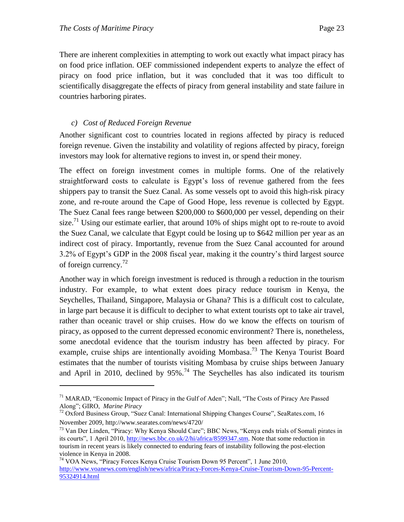$\overline{a}$ 

There are inherent complexities in attempting to work out exactly what impact piracy has on food price inflation. OEF commissioned independent experts to analyze the effect of piracy on food price inflation, but it was concluded that it was too difficult to scientifically disaggregate the effects of piracy from general instability and state failure in countries harboring pirates.

#### <span id="page-22-0"></span>*c) Cost of Reduced Foreign Revenue*

Another significant cost to countries located in regions affected by piracy is reduced foreign revenue. Given the instability and volatility of regions affected by piracy, foreign investors may look for alternative regions to invest in, or spend their money.

The effect on foreign investment comes in multiple forms. One of the relatively straightforward costs to calculate is Egypt's loss of revenue gathered from the fees shippers pay to transit the Suez Canal. As some vessels opt to avoid this high-risk piracy zone, and re-route around the Cape of Good Hope, less revenue is collected by Egypt. The Suez Canal fees range between \$200,000 to \$600,000 per vessel, depending on their size.<sup>71</sup> Using our estimate earlier, that around 10% of ships might opt to re-route to avoid the Suez Canal, we calculate that Egypt could be losing up to \$642 million per year as an indirect cost of piracy. Importantly, revenue from the Suez Canal accounted for around 3.2% of Egypt's GDP in the 2008 fiscal year, making it the country's third largest source of foreign currency.<sup>72</sup>

Another way in which foreign investment is reduced is through a reduction in the tourism industry. For example, to what extent does piracy reduce tourism in Kenya, the Seychelles, Thailand, Singapore, Malaysia or Ghana? This is a difficult cost to calculate, in large part because it is difficult to decipher to what extent tourists opt to take air travel, rather than oceanic travel or ship cruises. How do we know the effects on tourism of piracy, as opposed to the current depressed economic environment? There is, nonetheless, some anecdotal evidence that the tourism industry has been affected by piracy. For example, cruise ships are intentionally avoiding Mombasa.<sup>73</sup> The Kenya Tourist Board estimates that the number of tourists visiting Mombasa by cruise ships between January and April in 2010, declined by  $95\%$ .<sup>74</sup> The Seychelles has also indicated its tourism

<sup>&</sup>lt;sup>71</sup> MARAD, "Economic Impact of Piracy in the Gulf of Aden"; Nall, "The Costs of Piracy Are Passed Along‖; GIRO, *Marine Piracy*

 $72$  Oxford Business Group, "Suez Canal: International Shipping Changes Course", SeaRates.com, 16 November 2009[, http://www.searates.com/news/4720/](http://www.searates.com/news/4720/)

<sup>73</sup> Van Der Linden, "Piracy: Why Kenya Should Care"; BBC News, "Kenya ends trials of Somali pirates in its courts", 1 April 2010, [http://news.bbc.co.uk/2/hi/africa/8599347.stm.](http://news.bbc.co.uk/2/hi/africa/8599347.stm) Note that some reduction in tourism in recent years is likely connected to enduring fears of instability following the post-election violence in Kenya in 2008.

<sup>&</sup>lt;sup>74</sup> VOA News, "Piracy Forces Kenya Cruise Tourism Down 95 Percent", 1 June 2010, [http://www.voanews.com/english/news/africa/Piracy-Forces-Kenya-Cruise-Tourism-Down-95-Percent-](http://www.voanews.com/english/news/africa/Piracy-Forces-Kenya-Cruise-Tourism-Down-95-Percent-95324914.html)[95324914.html](http://www.voanews.com/english/news/africa/Piracy-Forces-Kenya-Cruise-Tourism-Down-95-Percent-95324914.html)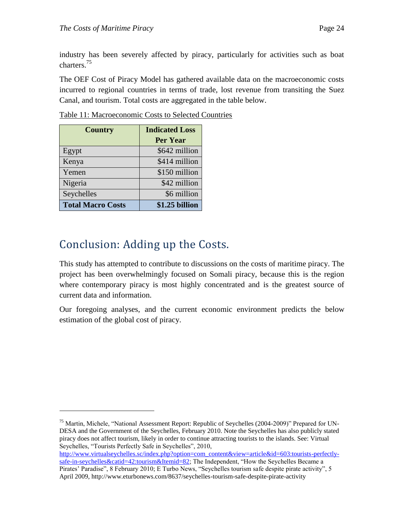industry has been severely affected by piracy, particularly for activities such as boat charters.<sup>75</sup>

The OEF Cost of Piracy Model has gathered available data on the macroeconomic costs incurred to regional countries in terms of trade, lost revenue from transiting the Suez Canal, and tourism. Total costs are aggregated in the table below.

| <b>Country</b>           | <b>Indicated Loss</b><br><b>Per Year</b> |
|--------------------------|------------------------------------------|
| Egypt                    | \$642 million                            |
| Kenya                    | \$414 million                            |
| Yemen                    | \$150 million                            |
| Nigeria                  | \$42 million                             |
| Seychelles               | \$6 million                              |
| <b>Total Macro Costs</b> | \$1.25 billion                           |

Table 11: Macroeconomic Costs to Selected Countries

### <span id="page-23-0"></span>Conclusion: Adding up the Costs.

 $\overline{a}$ 

This study has attempted to contribute to discussions on the costs of maritime piracy. The project has been overwhelmingly focused on Somali piracy, because this is the region where contemporary piracy is most highly concentrated and is the greatest source of current data and information.

Our foregoing analyses, and the current economic environment predicts the below estimation of the global cost of piracy.

```
http://www.virtualseychelles.sc/index.php?option=com_content&view=article&id=603:tourists-perfectly-
safe-in-seychelles&catid=42:tourism&Itemid=82; The Independent, "How the Seychelles Became a
Pirates' Paradise", 8 February 2010; E Turbo News, "Seychelles tourism safe despite pirate activity", 5
April 2009, http://www.eturbonews.com/8637/seychelles-tourism-safe-despite-pirate-activity
```
<sup>&</sup>lt;sup>75</sup> Martin, Michele, "National Assessment Report: Republic of Seychelles (2004-2009)" Prepared for UN-DESA and the Government of the Seychelles, February 2010. Note the Seychelles has also publicly stated piracy does not affect tourism, likely in order to continue attracting tourists to the islands. See: Virtual Seychelles, "Tourists Perfectly Safe in Seychelles", 2010,